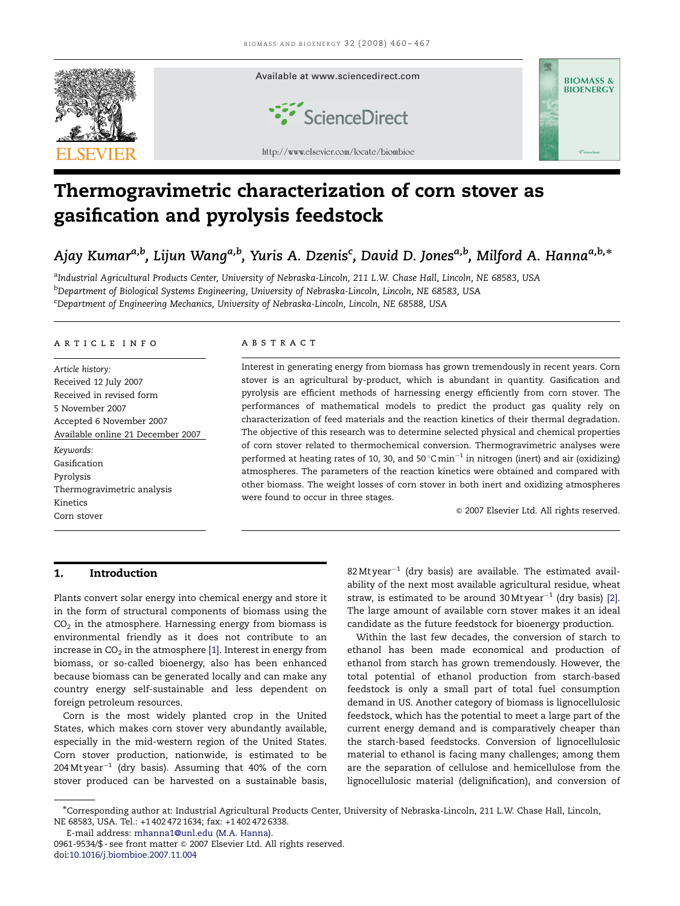

# Thermogravimetric characterization of corn stover as gasification and pyrolysis feedstock

## Ajay Kumar<sup>a,b</sup>, Lijun Wang<sup>a,b</sup>, Yuris A. Dzenis<sup>c</sup>, David D. Jones<sup>a,b</sup>, Milford A. Hanna<sup>a,b,</sup>\*

<sup>a</sup>Industrial Agricultural Products Center, University of Nebraska-Lincoln, 211 L.W. Chase Hall, Lincoln, NE 68583, USA <sup>b</sup>Department of Biological Systems Engineering, University of Nebraska-Lincoln, Lincoln, NE 68583, USA <sup>c</sup>Department of Engineering Mechanics, University of Nebraska-Lincoln, Lincoln, NE 68588, USA

## article info

Article history: Received 12 July 2007 Received in revised form 5 November 2007 Accepted 6 November 2007 Available online 21 December 2007 Keywords: Gasification Pyrolysis Thermogravimetric analysis Kinetics

Corn stover

## **ARSTRACT**

Interest in generating energy from biomass has grown tremendously in recent years. Corn stover is an agricultural by-product, which is abundant in quantity. Gasification and pyrolysis are efficient methods of harnessing energy efficiently from corn stover. The performances of mathematical models to predict the product gas quality rely on characterization of feed materials and the reaction kinetics of their thermal degradation. The objective of this research was to determine selected physical and chemical properties of corn stover related to thermochemical conversion. Thermogravimetric analyses were performed at heating rates of 10, 30, and 50  $^{\circ}$ C $\,\mathrm{min^{-1}}$  in nitrogen (inert) and air (oxidizing) atmospheres. The parameters of the reaction kinetics were obtained and compared with other biomass. The weight losses of corn stover in both inert and oxidizing atmospheres were found to occur in three stages.

 $@$  2007 Elsevier Ltd. All rights reserved.

## 1. Introduction

Plants convert solar energy into chemical energy and store it in the form of structural components of biomass using the  $CO<sub>2</sub>$  in the atmosphere. Harnessing energy from biomass is environmental friendly as it does not contribute to an increase in  $CO<sub>2</sub>$  in the atmosphere [\[1\]](#page-6-0). Interest in energy from biomass, or so-called bioenergy, also has been enhanced because biomass can be generated locally and can make any country energy self-sustainable and less dependent on foreign petroleum resources.

Corn is the most widely planted crop in the United States, which makes corn stover very abundantly available, especially in the mid-western region of the United States. Corn stover production, nationwide, is estimated to be  $204\,\mathrm{Mt}$ year $^{-1}$  (dry basis). Assuming that 40% of the corn stover produced can be harvested on a sustainable basis,

 $82$  Mt year $^{-1}$  (dry basis) are available. The estimated availability of the next most available agricultural residue, wheat straw, is estimated to be around  $30$ Mt year $^{-1}$  (dry basis) [\[2\]](#page-6-0). The large amount of available corn stover makes it an ideal candidate as the future feedstock for bioenergy production.

Within the last few decades, the conversion of starch to ethanol has been made economical and production of ethanol from starch has grown tremendously. However, the total potential of ethanol production from starch-based feedstock is only a small part of total fuel consumption demand in US. Another category of biomass is lignocellulosic feedstock, which has the potential to meet a large part of the current energy demand and is comparatively cheaper than the starch-based feedstocks. Conversion of lignocellulosic material to ethanol is facing many challenges; among them are the separation of cellulose and hemicellulose from the lignocellulosic material (delignification), and conversion of

E-mail address: [mhanna1@unl.edu \(M.A. Hanna\).](mailto:mhanna1@unl.edu)

<sup>-</sup>Corresponding author at: Industrial Agricultural Products Center, University of Nebraska-Lincoln, 211 L.W. Chase Hall, Lincoln, NE 68583, USA. Tel.: +1 402 472 1634; fax: +1 402 472 6338.

<sup>0961-9534/\$ -</sup> see front matter © 2007 Elsevier Ltd. All rights reserved. doi:[10.1016/j.biombioe.2007.11.004](dx.doi.org/10.1016/j.biombioe.2007.11.004)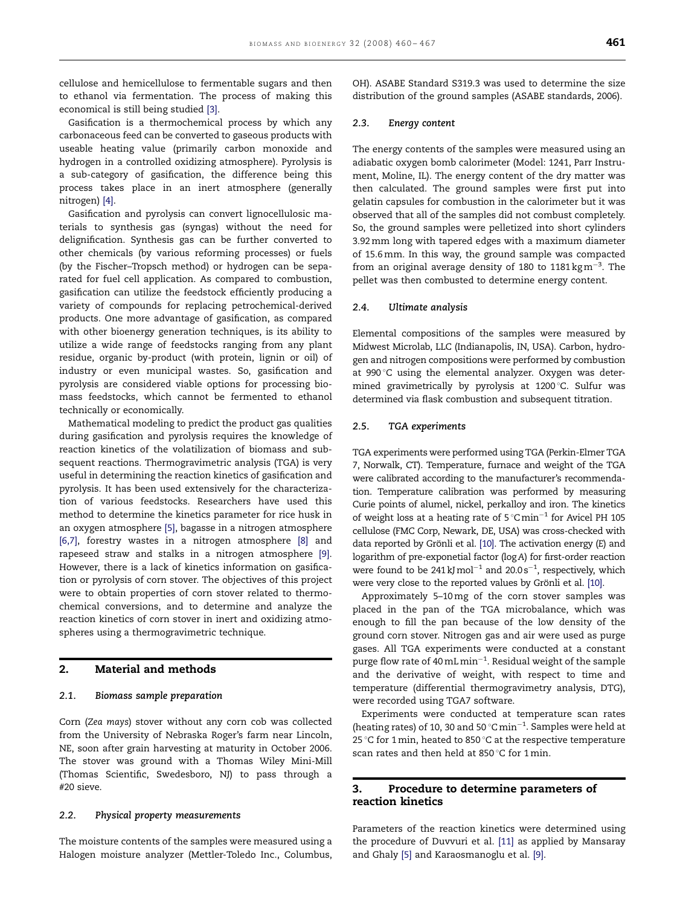cellulose and hemicellulose to fermentable sugars and then to ethanol via fermentation. The process of making this economical is still being studied [\[3\].](#page-6-0)

Gasification is a thermochemical process by which any carbonaceous feed can be converted to gaseous products with useable heating value (primarily carbon monoxide and hydrogen in a controlled oxidizing atmosphere). Pyrolysis is a sub-category of gasification, the difference being this process takes place in an inert atmosphere (generally nitrogen) [\[4\]](#page-6-0).

Gasification and pyrolysis can convert lignocellulosic materials to synthesis gas (syngas) without the need for delignification. Synthesis gas can be further converted to other chemicals (by various reforming processes) or fuels (by the Fischer–Tropsch method) or hydrogen can be separated for fuel cell application. As compared to combustion, gasification can utilize the feedstock efficiently producing a variety of compounds for replacing petrochemical-derived products. One more advantage of gasification, as compared with other bioenergy generation techniques, is its ability to utilize a wide range of feedstocks ranging from any plant residue, organic by-product (with protein, lignin or oil) of industry or even municipal wastes. So, gasification and pyrolysis are considered viable options for processing biomass feedstocks, which cannot be fermented to ethanol technically or economically.

Mathematical modeling to predict the product gas qualities during gasification and pyrolysis requires the knowledge of reaction kinetics of the volatilization of biomass and subsequent reactions. Thermogravimetric analysis (TGA) is very useful in determining the reaction kinetics of gasification and pyrolysis. It has been used extensively for the characterization of various feedstocks. Researchers have used this method to determine the kinetics parameter for rice husk in an oxygen atmosphere [\[5\],](#page-6-0) bagasse in a nitrogen atmosphere [\[6,7\],](#page-7-0) forestry wastes in a nitrogen atmosphere [\[8\]](#page-7-0) and rapeseed straw and stalks in a nitrogen atmosphere [\[9\].](#page-7-0) However, there is a lack of kinetics information on gasification or pyrolysis of corn stover. The objectives of this project were to obtain properties of corn stover related to thermochemical conversions, and to determine and analyze the reaction kinetics of corn stover in inert and oxidizing atmospheres using a thermogravimetric technique.

## 2. Material and methods

#### 2.1. Biomass sample preparation

Corn (Zea mays) stover without any corn cob was collected from the University of Nebraska Roger's farm near Lincoln, NE, soon after grain harvesting at maturity in October 2006. The stover was ground with a Thomas Wiley Mini-Mill (Thomas Scientific, Swedesboro, NJ) to pass through a #20 sieve.

## 2.2. Physical property measurements

The moisture contents of the samples were measured using a Halogen moisture analyzer (Mettler-Toledo Inc., Columbus, OH). ASABE Standard S319.3 was used to determine the size distribution of the ground samples (ASABE standards, 2006).

#### 2.3. Energy content

The energy contents of the samples were measured using an adiabatic oxygen bomb calorimeter (Model: 1241, Parr Instrument, Moline, IL). The energy content of the dry matter was then calculated. The ground samples were first put into gelatin capsules for combustion in the calorimeter but it was observed that all of the samples did not combust completely. So, the ground samples were pelletized into short cylinders 3.92mm long with tapered edges with a maximum diameter of 15.6mm. In this way, the ground sample was compacted from an original average density of 180 to 1181 kg  $\mathrm{m}^{-3}$ . The pellet was then combusted to determine energy content.

## 2.4. Ultimate analysis

Elemental compositions of the samples were measured by Midwest Microlab, LLC (Indianapolis, IN, USA). Carbon, hydrogen and nitrogen compositions were performed by combustion at 990 °C using the elemental analyzer. Oxygen was determined gravimetrically by pyrolysis at  $1200^{\circ}$ C. Sulfur was determined via flask combustion and subsequent titration.

## 2.5. TGA experiments

TGA experiments were performed using TGA (Perkin-Elmer TGA 7, Norwalk, CT). Temperature, furnace and weight of the TGA were calibrated according to the manufacturer's recommendation. Temperature calibration was performed by measuring Curie points of alumel, nickel, perkalloy and iron. The kinetics of weight loss at a heating rate of  $5^{\circ}$ Cmin<sup>-1</sup> for Avicel PH 105 cellulose (FMC Corp, Newark, DE, USA) was cross-checked with data reported by Grönli et al.  $[10]$ . The activation energy  $(E)$  and logarithm of pre-exponetial factor (logA) for first-order reaction were found to be 241 kJ mol $^{-1}$  and 20.0s $^{-1}$ , respectively, which were very close to the reported values by Grönli et al. [\[10\].](#page-7-0)

Approximately 5–10mg of the corn stover samples was placed in the pan of the TGA microbalance, which was enough to fill the pan because of the low density of the ground corn stover. Nitrogen gas and air were used as purge gases. All TGA experiments were conducted at a constant purge flow rate of 40 mL  $\rm{min^{-1}}$ . Residual weight of the sample and the derivative of weight, with respect to time and temperature (differential thermogravimetry analysis, DTG), were recorded using TGA7 software.

Experiments were conducted at temperature scan rates (heating rates) of 10, 30 and 50  $^{\circ}$ Cmin<sup>-1</sup>. Samples were held at 25 °C for 1 min, heated to 850 °C at the respective temperature scan rates and then held at 850 $\degree$ C for 1min.

## 3. Procedure to determine parameters of reaction kinetics

Parameters of the reaction kinetics were determined using the procedure of Duvvuri et al. [\[11\]](#page-7-0) as applied by Mansaray and Ghaly [\[5\]](#page-6-0) and Karaosmanoglu et al. [\[9\]](#page-7-0).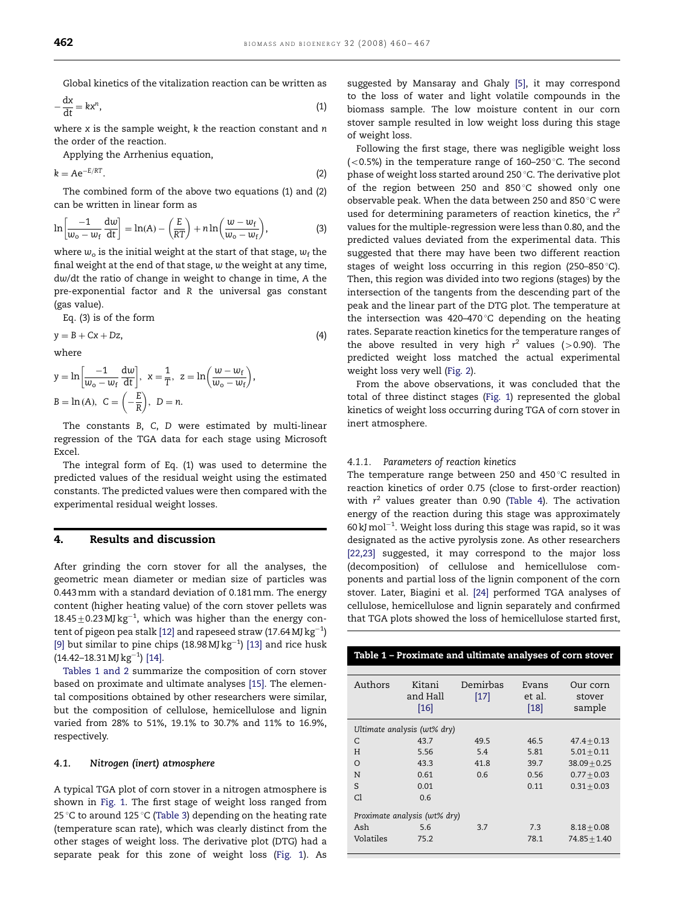Global kinetics of the vitalization reaction can be written as

$$
-\frac{dx}{dt} = kx^n,
$$
\t(1)

where  $x$  is the sample weight,  $k$  the reaction constant and  $n$ the order of the reaction.

Applying the Arrhenius equation,

$$
k = Ae^{-E/RT}.
$$
 (2)

The combined form of the above two equations (1) and (2) can be written in linear form as

$$
\ln\left[\frac{-1}{w_{o}-w_{f}}\frac{\mathrm{d}w}{\mathrm{d}t}\right]=\ln(A)-\left(\frac{E}{RT}\right)+n\ln\left(\frac{w-w_{f}}{w_{o}-w_{f}}\right),\tag{3}
$$

where  $w_0$  is the initial weight at the start of that stage,  $w_f$  the final weight at the end of that stage, w the weight at any time, dw/dt the ratio of change in weight to change in time, A the pre-exponential factor and R the universal gas constant (gas value).

Eq. (3) is of the form

$$
y = B + Cx + Dz, \tag{4}
$$

where

$$
y = \ln\left[\frac{-1}{w_o - w_f}\frac{dw}{dt}\right], \ x = \frac{1}{T}, \ z = \ln\left(\frac{w - w_f}{w_o - w_f}\right),
$$
  

$$
B = \ln(A), \ C = \left(-\frac{E}{R}\right), \ D = n.
$$

The constants B, C, D were estimated by multi-linear regression of the TGA data for each stage using Microsoft Excel.

The integral form of Eq. (1) was used to determine the predicted values of the residual weight using the estimated constants. The predicted values were then compared with the experimental residual weight losses.

## 4. Results and discussion

After grinding the corn stover for all the analyses, the geometric mean diameter or median size of particles was 0.443mm with a standard deviation of 0.181mm. The energy content (higher heating value) of the corn stover pellets was  $18.45\pm0.23$  MJ kg<sup>-1</sup>, which was higher than the energy con-tent of pigeon pea stalk [\[12\]](#page-7-0) and rapeseed straw (17.64 MJ  $\rm kg^{-1}$ ) [\[9\]](#page-7-0) but similar to pine chips (18.98 MJ  $kg^{-1}$ ) [\[13\]](#page-7-0) and rice husk  $(14.42-18.31 \,\mathrm{MJ\,kg^{-1}})$  [\[14\].](#page-7-0)

Tables 1 and 2 summarize the composition of corn stover based on proximate and ultimate analyses [\[15\].](#page-7-0) The elemental compositions obtained by other researchers were similar, but the composition of cellulose, hemicellulose and lignin varied from 28% to 51%, 19.1% to 30.7% and 11% to 16.9%, respectively.

## 4.1. Nitrogen (inert) atmosphere

A typical TGA plot of corn stover in a nitrogen atmosphere is shown in [Fig. 1.](#page-3-0) The first stage of weight loss ranged from 25 °C to around 125 °C [\(Table 3\)](#page-3-0) depending on the heating rate (temperature scan rate), which was clearly distinct from the other stages of weight loss. The derivative plot (DTG) had a separate peak for this zone of weight loss [\(Fig. 1\)](#page-3-0). As suggested by Mansaray and Ghaly [\[5\],](#page-6-0) it may correspond to the loss of water and light volatile compounds in the biomass sample. The low moisture content in our corn stover sample resulted in low weight loss during this stage of weight loss.

Following the first stage, there was negligible weight loss ( $<$ 0.5%) in the temperature range of 160–250 °C. The second phase of weight loss started around 250 °C. The derivative plot of the region between 250 and 850 $\degree$ C showed only one observable peak. When the data between 250 and 850 $\degree$ C were used for determining parameters of reaction kinetics, the  $r^2$ values for the multiple-regression were less than 0.80, and the predicted values deviated from the experimental data. This suggested that there may have been two different reaction stages of weight loss occurring in this region (250–850 $\degree$ C). Then, this region was divided into two regions (stages) by the intersection of the tangents from the descending part of the peak and the linear part of the DTG plot. The temperature at the intersection was 420–470 $\degree$ C depending on the heating rates. Separate reaction kinetics for the temperature ranges of the above resulted in very high  $r^2$  values (>0.90). The predicted weight loss matched the actual experimental weight loss very well [\(Fig. 2](#page-4-0)).

From the above observations, it was concluded that the total of three distinct stages ([Fig. 1](#page-3-0)) represented the global kinetics of weight loss occurring during TGA of corn stover in inert atmosphere.

#### 4.1.1. Parameters of reaction kinetics

The temperature range between 250 and 450 $\degree$ C resulted in reaction kinetics of order 0.75 (close to first-order reaction) with  $r^2$  values greater than 0.90 ([Table 4](#page-4-0)). The activation energy of the reaction during this stage was approximately  $60$  kJ mol $^{-1}$ . Weight loss during this stage was rapid, so it was designated as the active pyrolysis zone. As other researchers [\[22,23\]](#page-7-0) suggested, it may correspond to the major loss (decomposition) of cellulose and hemicellulose components and partial loss of the lignin component of the corn stover. Later, Biagini et al. [\[24\]](#page-7-0) performed TGA analyses of cellulose, hemicellulose and lignin separately and confirmed that TGA plots showed the loss of hemicellulose started first,

| Authors   | Kitani<br>and Hall<br>$[16]$ | Demirbas<br>$[17]$ | Evans<br>et al.<br>[18] | Our corn<br>stover<br>sample |
|-----------|------------------------------|--------------------|-------------------------|------------------------------|
|           | Ultimate analysis (wt% dry)  |                    |                         |                              |
| C         | 43.7                         | 49.5               | 46.5                    | $47.4 + 0.13$                |
| H         | 5.56                         | 5.4                | 5.81                    | $5.01 + 0.11$                |
| $\Omega$  | 43.3                         | 41.8               | 39.7                    | $38.09 + 0.25$               |
| N         | 0.61                         | 0.6                | 0.56                    | $0.77 + 0.03$                |
| S         | 0.01                         |                    | 0.11                    | $0.31 + 0.03$                |
| Cl        | 0.6                          |                    |                         |                              |
|           | Proximate analysis (wt% dry) |                    |                         |                              |
| Ash       | 5.6                          | 3.7                | 7.3                     | $8.18 + 0.08$                |
| Volatiles | 75.2                         |                    | 78.1                    | $74.85 + 1.40$               |

Table 1 – Proximate and ultimate analyses of corn stover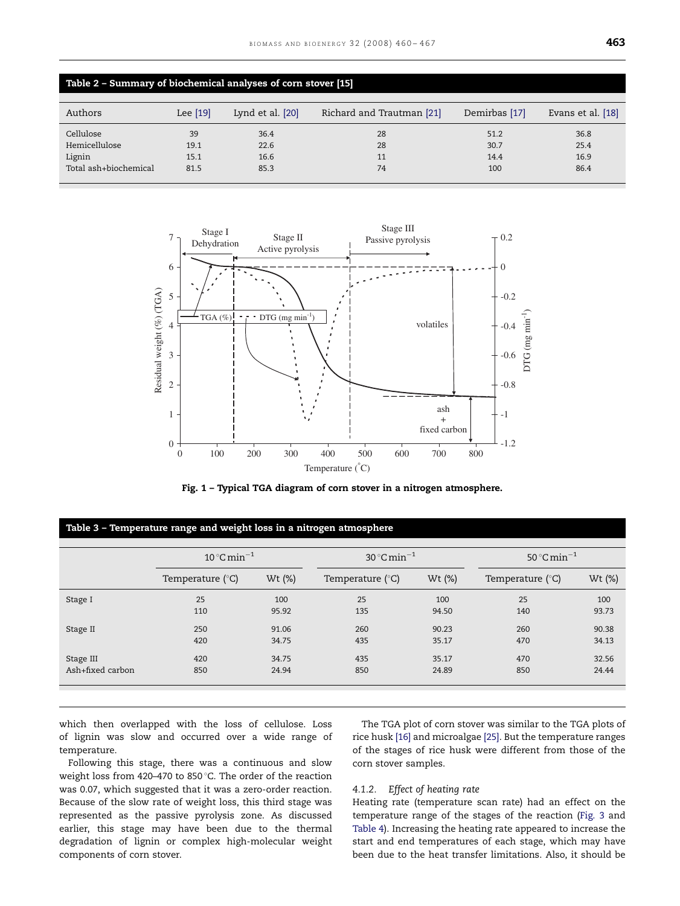<span id="page-3-0"></span>

| Table 2 - Summary of biochemical analyses of corn stover [15] |                            |                              |                           |                             |                              |  |  |
|---------------------------------------------------------------|----------------------------|------------------------------|---------------------------|-----------------------------|------------------------------|--|--|
| Authors                                                       | Lee $[19]$                 | Lynd et al. [20]             | Richard and Trautman [21] | Demirbas [17]               | Evans et al. [18]            |  |  |
| Cellulose<br>Hemicellulose<br>Lignin<br>Total ash+biochemical | 39<br>19.1<br>15.1<br>81.5 | 36.4<br>22.6<br>16.6<br>85.3 | 28<br>28<br>11<br>74      | 51.2<br>30.7<br>14.4<br>100 | 36.8<br>25.4<br>16.9<br>86.4 |  |  |



Fig. 1 – Typical TGA diagram of corn stover in a nitrogen atmosphere.

|                  | $10^{\circ}$ C min <sup>-1</sup> |        | $30^{\circ}$ C min <sup>-1</sup> |        | 50 $^{\circ}$ C min <sup>-1</sup> |        |
|------------------|----------------------------------|--------|----------------------------------|--------|-----------------------------------|--------|
|                  | Temperature $(^{\circ}C)$        | Wt (%) | Temperature $(^\circ C)$         | Wt (%) | Temperature $(^{\circ}C)$         | Wt (%) |
| Stage I          | 25                               | 100    | 25                               | 100    | 25                                | 100    |
|                  | 110                              | 95.92  | 135                              | 94.50  | 140                               | 93.73  |
| Stage II         | 250                              | 91.06  | 260                              | 90.23  | 260                               | 90.38  |
|                  | 420                              | 34.75  | 435                              | 35.17  | 470                               | 34.13  |
| Stage III        | 420                              | 34.75  | 435                              | 35.17  | 470                               | 32.56  |
| Ash+fixed carbon | 850                              | 24.94  | 850                              | 24.89  | 850                               | 24.44  |

which then overlapped with the loss of cellulose. Loss of lignin was slow and occurred over a wide range of temperature.

Following this stage, there was a continuous and slow weight loss from 420-470 to 850 $^{\circ}$ C. The order of the reaction was 0.07, which suggested that it was a zero-order reaction. Because of the slow rate of weight loss, this third stage was represented as the passive pyrolysis zone. As discussed earlier, this stage may have been due to the thermal degradation of lignin or complex high-molecular weight components of corn stover.

The TGA plot of corn stover was similar to the TGA plots of rice husk [\[16\]](#page-7-0) and microalgae [\[25\]](#page-7-0). But the temperature ranges of the stages of rice husk were different from those of the corn stover samples.

## 4.1.2. Effect of heating rate

Heating rate (temperature scan rate) had an effect on the temperature range of the stages of the reaction [\(Fig. 3](#page-5-0) and [Table 4](#page-4-0)). Increasing the heating rate appeared to increase the start and end temperatures of each stage, which may have been due to the heat transfer limitations. Also, it should be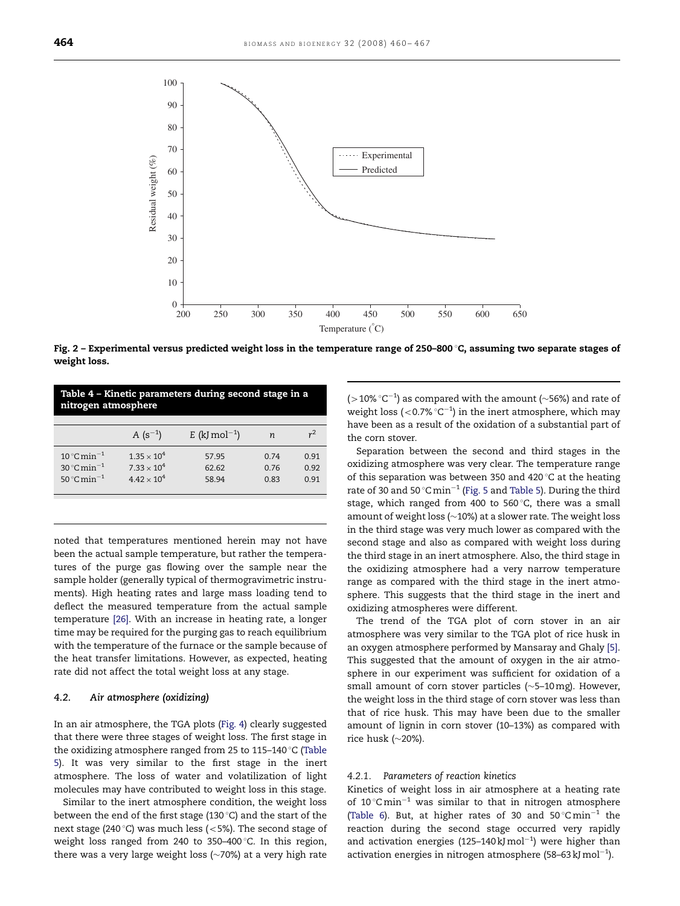<span id="page-4-0"></span>

Fig.  $2$  – Experimental versus predicted weight loss in the temperature range of 250–800  $C$ , assuming two separate stages of weight loss.

| Table 4 – Kinetic parameters during second stage in a<br>nitrogen atmosphere                     |                                                                      |                           |                      |                      |  |  |
|--------------------------------------------------------------------------------------------------|----------------------------------------------------------------------|---------------------------|----------------------|----------------------|--|--|
|                                                                                                  | A $(s^{-1})$                                                         | E (kJ mol <sup>-1</sup> ) | n                    | $r^2$                |  |  |
| 10 °C min <sup>-1</sup><br>$30^{\circ}$ C min <sup>-1</sup><br>50 $^{\circ}$ C min <sup>-1</sup> | $1.35 \times 10^{4}$<br>$7.33 \times 10^{4}$<br>$4.42 \times 10^{4}$ | 57.95<br>62.62<br>58 94   | 0.74<br>0.76<br>0.83 | 0.91<br>0.92<br>0.91 |  |  |

noted that temperatures mentioned herein may not have been the actual sample temperature, but rather the temperatures of the purge gas flowing over the sample near the sample holder (generally typical of thermogravimetric instruments). High heating rates and large mass loading tend to deflect the measured temperature from the actual sample temperature [\[26\].](#page-7-0) With an increase in heating rate, a longer time may be required for the purging gas to reach equilibrium with the temperature of the furnace or the sample because of the heat transfer limitations. However, as expected, heating rate did not affect the total weight loss at any stage.

## 4.2. Air atmosphere (oxidizing)

In an air atmosphere, the TGA plots ([Fig. 4](#page-5-0)) clearly suggested that there were three stages of weight loss. The first stage in the oxidizing atmosphere ranged from 25 to 115-140  $\degree$ C ([Table](#page-5-0) [5\)](#page-5-0). It was very similar to the first stage in the inert atmosphere. The loss of water and volatilization of light molecules may have contributed to weight loss in this stage.

Similar to the inert atmosphere condition, the weight loss between the end of the first stage (130 $\degree$ C) and the start of the next stage (240 $^{\circ}$ C) was much less (<5%). The second stage of weight loss ranged from 240 to 350-400 $\degree$ C. In this region, there was a very large weight loss  $(\sim 70%)$  at a very high rate

(>10%  $\degree$ C $^{-1}$ ) as compared with the amount ( $\sim$ 56%) and rate of weight loss (<0.7%  $°C^{-1}$ ) in the inert atmosphere, which may have been as a result of the oxidation of a substantial part of the corn stover.

Separation between the second and third stages in the oxidizing atmosphere was very clear. The temperature range of this separation was between 350 and 420  $\degree$ C at the heating rate of 30 and 50  $^{\circ}$ C $\,\mathrm{min^{-1}}$  ([Fig. 5](#page-6-0) and [Table 5\)](#page-5-0). During the third stage, which ranged from 400 to 560 $\degree$ C, there was a small amount of weight loss ( $\sim$ 10%) at a slower rate. The weight loss in the third stage was very much lower as compared with the second stage and also as compared with weight loss during the third stage in an inert atmosphere. Also, the third stage in the oxidizing atmosphere had a very narrow temperature range as compared with the third stage in the inert atmosphere. This suggests that the third stage in the inert and oxidizing atmospheres were different.

The trend of the TGA plot of corn stover in an air atmosphere was very similar to the TGA plot of rice husk in an oxygen atmosphere performed by Mansaray and Ghaly [\[5\]](#page-6-0). This suggested that the amount of oxygen in the air atmosphere in our experiment was sufficient for oxidation of a small amount of corn stover particles ( $\sim$ 5-10mg). However, the weight loss in the third stage of corn stover was less than that of rice husk. This may have been due to the smaller amount of lignin in corn stover (10–13%) as compared with rice husk  $(\sim$ 20%).

## 4.2.1. Parameters of reaction kinetics

Kinetics of weight loss in air atmosphere at a heating rate of  $10^{\circ}$ Cmin<sup>-1</sup> was similar to that in nitrogen atmosphere ([Table 6\)](#page-6-0). But, at higher rates of 30 and  $50^{\circ}$ Cmin<sup>-1</sup> the reaction during the second stage occurred very rapidly and activation energies (125-140 kJ mol<sup>-1</sup>) were higher than activation energies in nitrogen atmosphere (58–63 kJ mol $^{-1}$ ).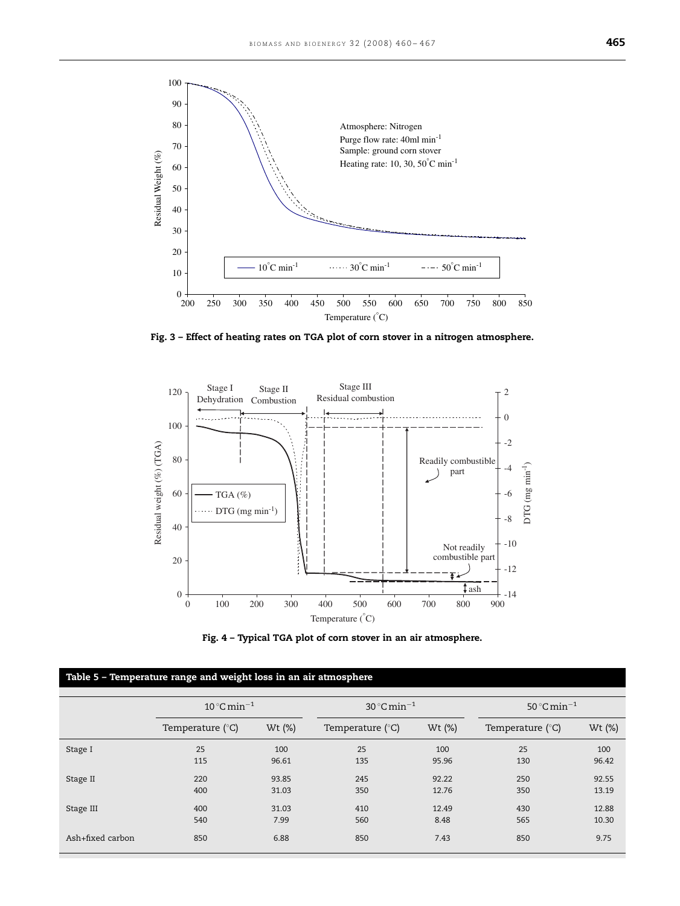<span id="page-5-0"></span>

Fig. 3 – Effect of heating rates on TGA plot of corn stover in a nitrogen atmosphere.





|                  | Table 5 - Temperature range and weight loss in an air atmosphere |                |                                   |                |                                   |                |
|------------------|------------------------------------------------------------------|----------------|-----------------------------------|----------------|-----------------------------------|----------------|
|                  | $10^{\circ}$ C min <sup>-1</sup>                                 |                | 30 $^{\circ}$ C min <sup>-1</sup> |                | 50 $^{\circ}$ C min <sup>-1</sup> |                |
|                  | Temperature $(^{\circ}C)$                                        | Wt (%)         | Temperature ( $\degree$ C)        | Wt (%)         | Temperature $(^{\circ}C)$         | Wt (%)         |
| Stage I          | 25<br>115                                                        | 100<br>96.61   | 25<br>135                         | 100<br>95.96   | 25<br>130                         | 100<br>96.42   |
| Stage II         | 220<br>400                                                       | 93.85<br>31.03 | 245<br>350                        | 92.22<br>12.76 | 250<br>350                        | 92.55<br>13.19 |
| Stage III        | 400<br>540                                                       | 31.03<br>7.99  | 410<br>560                        | 12.49<br>8.48  | 430<br>565                        | 12.88<br>10.30 |
| Ash+fixed carbon | 850                                                              | 6.88           | 850                               | 7.43           | 850                               | 9.75           |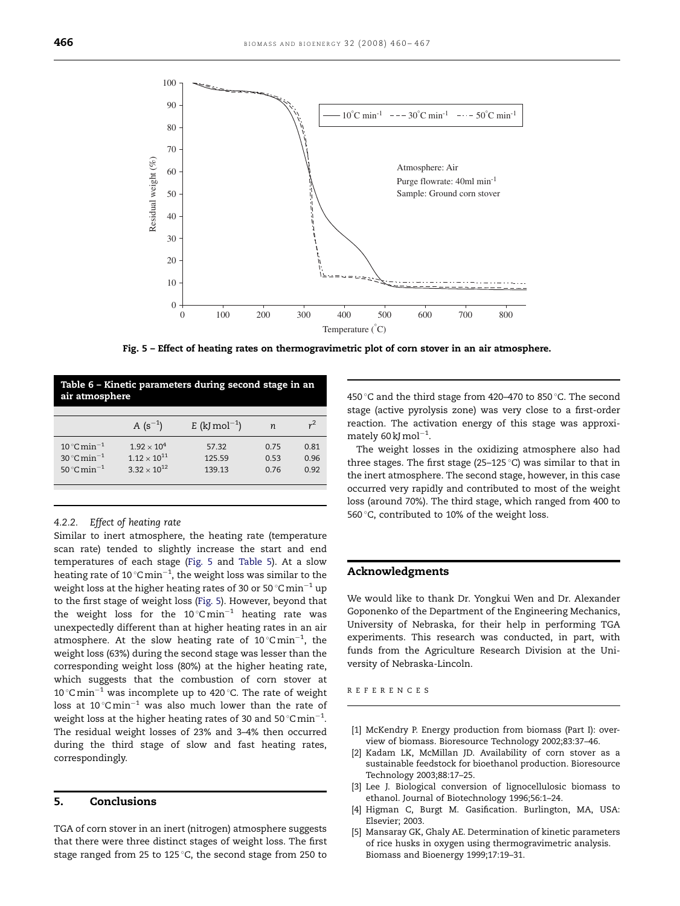<span id="page-6-0"></span>

Fig. 5 – Effect of heating rates on thermogravimetric plot of corn stover in an air atmosphere.

| Table 6 - Kinetic parameters during second stage in an<br>air atmosphere                         |                                                                                          |                           |                      |                      |  |  |
|--------------------------------------------------------------------------------------------------|------------------------------------------------------------------------------------------|---------------------------|----------------------|----------------------|--|--|
|                                                                                                  | A $(s^{-1})$                                                                             | E (kJ mol <sup>-1</sup> ) | n                    | $r^2$                |  |  |
| 10 °C min <sup>-1</sup><br>$30^{\circ}$ C min <sup>-1</sup><br>50 $^{\circ}$ C min <sup>-1</sup> | 1.92 $\times$ 10 <sup>4</sup><br>$1.12 \times 10^{11}$<br>3 32 $\times$ 10 <sup>12</sup> | 57.32<br>125.59<br>139.13 | 0.75<br>0.53<br>0.76 | 0.81<br>0.96<br>0.92 |  |  |

#### 4.2.2. Effect of heating rate

Similar to inert atmosphere, the heating rate (temperature scan rate) tended to slightly increase the start and end temperatures of each stage (Fig. 5 and [Table 5](#page-5-0)). At a slow heating rate of 10  $^{\circ}$ C $\rm min^{-1}$ , the weight loss was similar to the weight loss at the higher heating rates of 30 or 50  $^{\circ}$ C $\min^{-1}$  up to the first stage of weight loss (Fig. 5). However, beyond that the weight loss for the 10 $^{\circ}$ Cmin $^{-1}$  heating rate was unexpectedly different than at higher heating rates in an air atmosphere. At the slow heating rate of  $10^{\circ}$ Cmin<sup>-1</sup>, the weight loss (63%) during the second stage was lesser than the corresponding weight loss (80%) at the higher heating rate, which suggests that the combustion of corn stover at 10 °C min<sup>-1</sup> was incomplete up to 420 °C. The rate of weight loss at 10 $^{\circ}$ C $\rm min^{-1}$  was also much lower than the rate of weight loss at the higher heating rates of 30 and 50  $^{\circ}$ Cmin<sup>-1</sup>. The residual weight losses of 23% and 3–4% then occurred during the third stage of slow and fast heating rates, correspondingly.

## 5. Conclusions

TGA of corn stover in an inert (nitrogen) atmosphere suggests that there were three distinct stages of weight loss. The first stage ranged from 25 to 125 $\degree$ C, the second stage from 250 to 450 °C and the third stage from 420-470 to 850 °C. The second stage (active pyrolysis zone) was very close to a first-order reaction. The activation energy of this stage was approximately  $60 \text{ kJ}$  mol<sup>-1</sup>.

The weight losses in the oxidizing atmosphere also had three stages. The first stage (25–125  $\degree$ C) was similar to that in the inert atmosphere. The second stage, however, in this case occurred very rapidly and contributed to most of the weight loss (around 70%). The third stage, which ranged from 400 to 560 $\degree$ C, contributed to 10% of the weight loss.

## Acknowledgments

We would like to thank Dr. Yongkui Wen and Dr. Alexander Goponenko of the Department of the Engineering Mechanics, University of Nebraska, for their help in performing TGA experiments. This research was conducted, in part, with funds from the Agriculture Research Division at the University of Nebraska-Lincoln.

REFERENCES

- [1] McKendry P. Energy production from biomass (Part I): overview of biomass. Bioresource Technology 2002;83:37–46.
- [2] Kadam LK, McMillan JD. Availability of corn stover as a sustainable feedstock for bioethanol production. Bioresource Technology 2003;88:17–25.
- [3] Lee J. Biological conversion of lignocellulosic biomass to ethanol. Journal of Biotechnology 1996;56:1–24.
- [4] Higman C, Burgt M. Gasification. Burlington, MA, USA: Elsevier; 2003.
- [5] Mansaray GK, Ghaly AE. Determination of kinetic parameters of rice husks in oxygen using thermogravimetric analysis. Biomass and Bioenergy 1999;17:19–31.